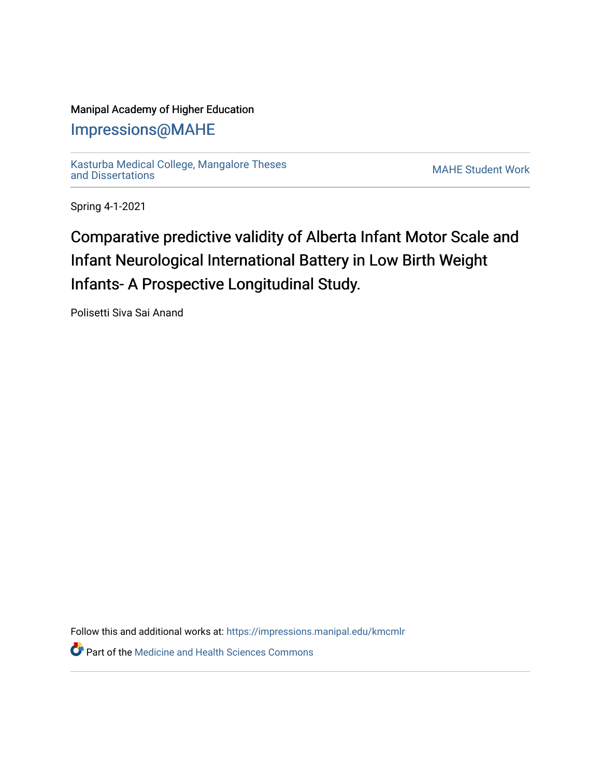### Manipal Academy of Higher Education

## [Impressions@MAHE](https://impressions.manipal.edu/)

[Kasturba Medical College, Mangalore Theses](https://impressions.manipal.edu/kmcmlr) [and Dissertations](https://impressions.manipal.edu/kmcmlr) [MAHE Student Work](https://impressions.manipal.edu/student-work) 

Spring 4-1-2021

# Comparative predictive validity of Alberta Infant Motor Scale and Infant Neurological International Battery in Low Birth Weight Infants- A Prospective Longitudinal Study.

Polisetti Siva Sai Anand

Follow this and additional works at: [https://impressions.manipal.edu/kmcmlr](https://impressions.manipal.edu/kmcmlr?utm_source=impressions.manipal.edu%2Fkmcmlr%2F69&utm_medium=PDF&utm_campaign=PDFCoverPages) 

*O* Part of the Medicine and Health Sciences Commons